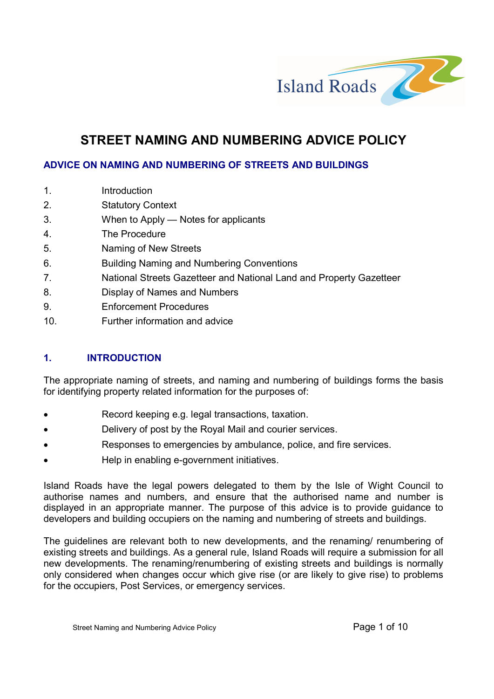

# STREET NAMING AND NUMBERING ADVICE POLICY

## ADVICE ON NAMING AND NUMBERING OF STREETS AND BUILDINGS

| 1.  | Introduction                                                        |
|-----|---------------------------------------------------------------------|
| 2.  | <b>Statutory Context</b>                                            |
| 3.  | When to Apply — Notes for applicants                                |
| 4.  | The Procedure                                                       |
| 5.  | Naming of New Streets                                               |
| 6.  | <b>Building Naming and Numbering Conventions</b>                    |
| 7.  | National Streets Gazetteer and National Land and Property Gazetteer |
| 8.  | Display of Names and Numbers                                        |
| 9.  | <b>Enforcement Procedures</b>                                       |
| 10. | Further information and advice                                      |
|     |                                                                     |

# 1. INTRODUCTION

The appropriate naming of streets, and naming and numbering of buildings forms the basis for identifying property related information for the purposes of:

- Record keeping e.g. legal transactions, taxation.
- Delivery of post by the Royal Mail and courier services.
- Responses to emergencies by ambulance, police, and fire services.
- Help in enabling e-government initiatives.

Island Roads have the legal powers delegated to them by the Isle of Wight Council to authorise names and numbers, and ensure that the authorised name and number is displayed in an appropriate manner. The purpose of this advice is to provide guidance to developers and building occupiers on the naming and numbering of streets and buildings.

The guidelines are relevant both to new developments, and the renaming/ renumbering of existing streets and buildings. As a general rule, Island Roads will require a submission for all new developments. The renaming/renumbering of existing streets and buildings is normally only considered when changes occur which give rise (or are likely to give rise) to problems for the occupiers, Post Services, or emergency services.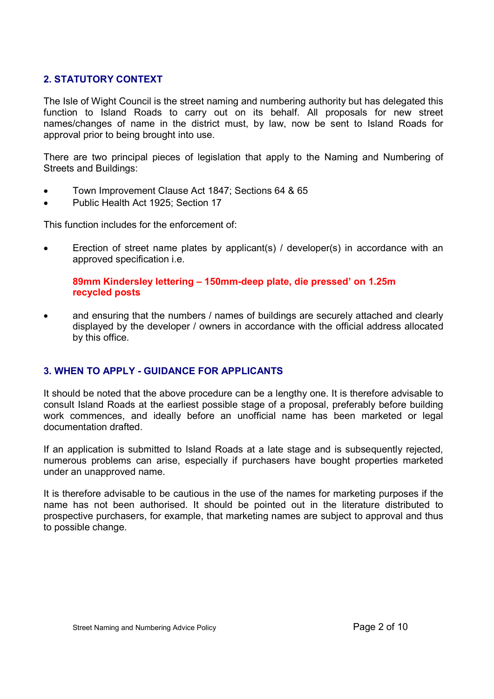# 2. STATUTORY CONTEXT

The Isle of Wight Council is the street naming and numbering authority but has delegated this function to Island Roads to carry out on its behalf. All proposals for new street names/changes of name in the district must, by law, now be sent to Island Roads for approval prior to being brought into use.

There are two principal pieces of legislation that apply to the Naming and Numbering of Streets and Buildings:

- Town Improvement Clause Act 1847; Sections 64 & 65
- Public Health Act 1925; Section 17

This function includes for the enforcement of:

 Erection of street name plates by applicant(s) / developer(s) in accordance with an approved specification i.e.

#### 89mm Kindersley lettering – 150mm-deep plate, die pressed' on 1.25m recycled posts

• and ensuring that the numbers / names of buildings are securely attached and clearly displayed by the developer / owners in accordance with the official address allocated by this office.

# 3. WHEN TO APPLY - GUIDANCE FOR APPLICANTS

It should be noted that the above procedure can be a lengthy one. It is therefore advisable to consult Island Roads at the earliest possible stage of a proposal, preferably before building work commences, and ideally before an unofficial name has been marketed or legal documentation drafted.

If an application is submitted to Island Roads at a late stage and is subsequently rejected, numerous problems can arise, especially if purchasers have bought properties marketed under an unapproved name.

It is therefore advisable to be cautious in the use of the names for marketing purposes if the name has not been authorised. It should be pointed out in the literature distributed to prospective purchasers, for example, that marketing names are subject to approval and thus to possible change.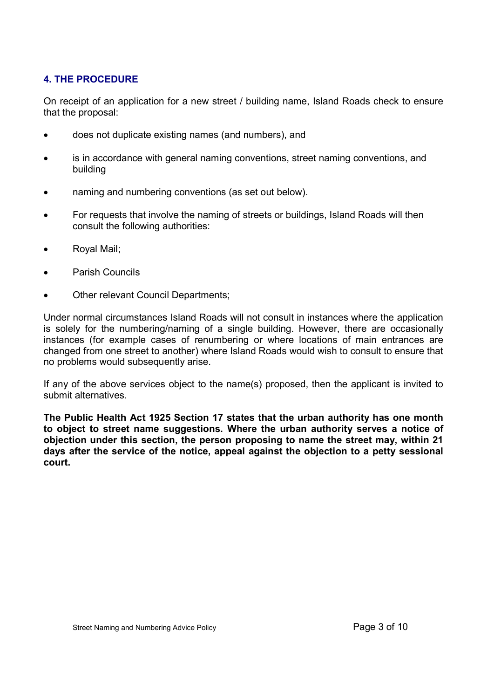# 4. THE PROCEDURE

On receipt of an application for a new street / building name, Island Roads check to ensure that the proposal:

- does not duplicate existing names (and numbers), and
- is in accordance with general naming conventions, street naming conventions, and building
- naming and numbering conventions (as set out below).
- For requests that involve the naming of streets or buildings, Island Roads will then consult the following authorities:
- Royal Mail;
- Parish Councils
- Other relevant Council Departments;

Under normal circumstances Island Roads will not consult in instances where the application is solely for the numbering/naming of a single building. However, there are occasionally instances (for example cases of renumbering or where locations of main entrances are changed from one street to another) where Island Roads would wish to consult to ensure that no problems would subsequently arise.

If any of the above services object to the name(s) proposed, then the applicant is invited to submit alternatives.

The Public Health Act 1925 Section 17 states that the urban authority has one month to object to street name suggestions. Where the urban authority serves a notice of objection under this section, the person proposing to name the street may, within 21 days after the service of the notice, appeal against the objection to a petty sessional court.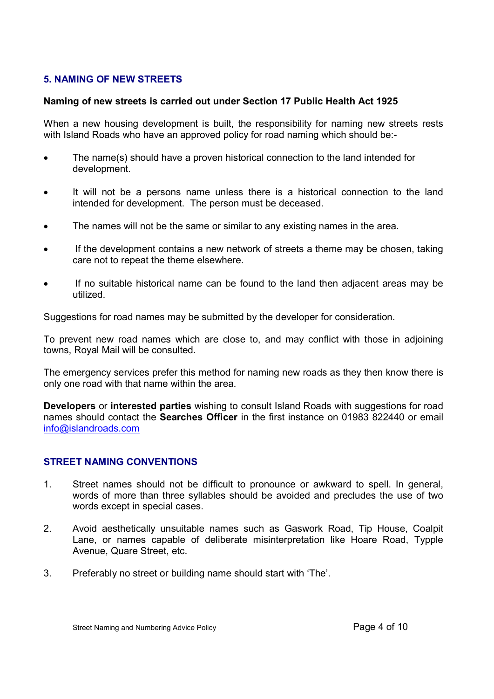## 5. NAMING OF NEW STREETS

#### Naming of new streets is carried out under Section 17 Public Health Act 1925

When a new housing development is built, the responsibility for naming new streets rests with Island Roads who have an approved policy for road naming which should be:-

- The name(s) should have a proven historical connection to the land intended for development.
- It will not be a persons name unless there is a historical connection to the land intended for development. The person must be deceased.
- The names will not be the same or similar to any existing names in the area.
- If the development contains a new network of streets a theme may be chosen, taking care not to repeat the theme elsewhere.
- If no suitable historical name can be found to the land then adjacent areas may be utilized.

Suggestions for road names may be submitted by the developer for consideration.

To prevent new road names which are close to, and may conflict with those in adjoining towns, Royal Mail will be consulted.

The emergency services prefer this method for naming new roads as they then know there is only one road with that name within the area.

Developers or interested parties wishing to consult Island Roads with suggestions for road names should contact the Searches Officer in the first instance on 01983 822440 or email info@islandroads.com

## STREET NAMING CONVENTIONS

- 1. Street names should not be difficult to pronounce or awkward to spell. In general, words of more than three syllables should be avoided and precludes the use of two words except in special cases.
- 2. Avoid aesthetically unsuitable names such as Gaswork Road, Tip House, Coalpit Lane, or names capable of deliberate misinterpretation like Hoare Road, Typple Avenue, Quare Street, etc.
- 3. Preferably no street or building name should start with 'The'.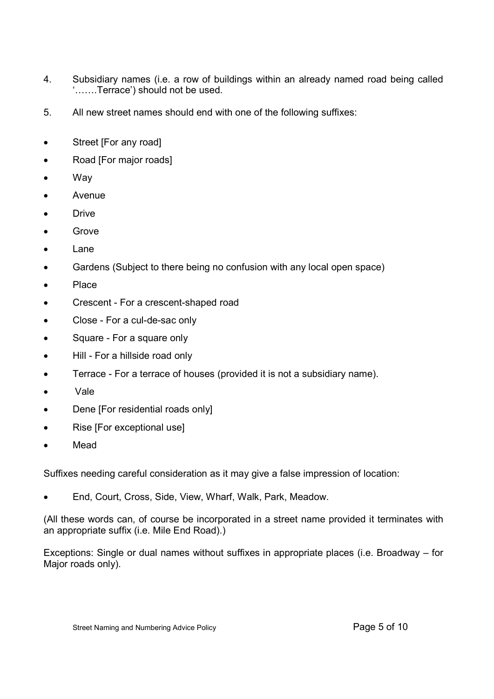- 4. Subsidiary names (i.e. a row of buildings within an already named road being called '…….Terrace') should not be used.
- 5. All new street names should end with one of the following suffixes:
- Street [For any road]
- Road [For major roads]
- Way
- Avenue
- **Drive**
- **Grove**
- Lane
- Gardens (Subject to there being no confusion with any local open space)
- Place
- Crescent For a crescent-shaped road
- Close For a cul-de-sac only
- Square For a square only
- Hill For a hillside road only
- Terrace For a terrace of houses (provided it is not a subsidiary name).
- Vale
- Dene [For residential roads only]
- Rise [For exceptional use]
- Mead

Suffixes needing careful consideration as it may give a false impression of location:

End, Court, Cross, Side, View, Wharf, Walk, Park, Meadow.

(All these words can, of course be incorporated in a street name provided it terminates with an appropriate suffix (i.e. Mile End Road).)

Exceptions: Single or dual names without suffixes in appropriate places (i.e. Broadway – for Major roads only).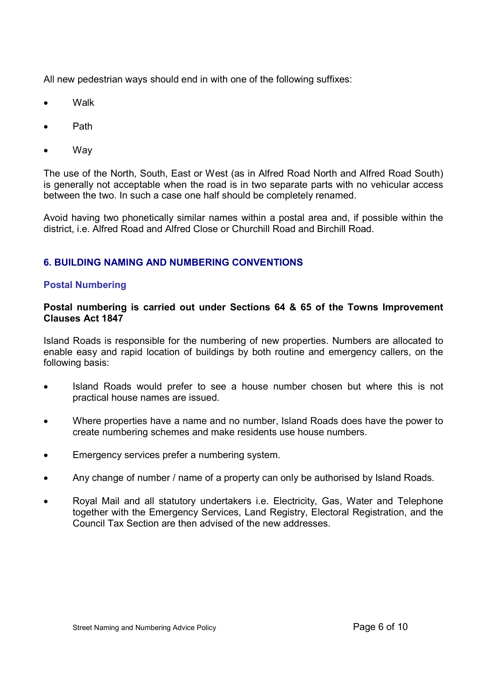All new pedestrian ways should end in with one of the following suffixes:

- **Walk**
- Path
- **Way**

The use of the North, South, East or West (as in Alfred Road North and Alfred Road South) is generally not acceptable when the road is in two separate parts with no vehicular access between the two. In such a case one half should be completely renamed.

Avoid having two phonetically similar names within a postal area and, if possible within the district, i.e. Alfred Road and Alfred Close or Churchill Road and Birchill Road.

## 6. BUILDING NAMING AND NUMBERING CONVENTIONS

#### Postal Numbering

#### Postal numbering is carried out under Sections 64 & 65 of the Towns Improvement Clauses Act 1847

Island Roads is responsible for the numbering of new properties. Numbers are allocated to enable easy and rapid location of buildings by both routine and emergency callers, on the following basis:

- Island Roads would prefer to see a house number chosen but where this is not practical house names are issued.
- Where properties have a name and no number, Island Roads does have the power to create numbering schemes and make residents use house numbers.
- Emergency services prefer a numbering system.
- Any change of number / name of a property can only be authorised by Island Roads.
- Royal Mail and all statutory undertakers i.e. Electricity, Gas, Water and Telephone together with the Emergency Services, Land Registry, Electoral Registration, and the Council Tax Section are then advised of the new addresses.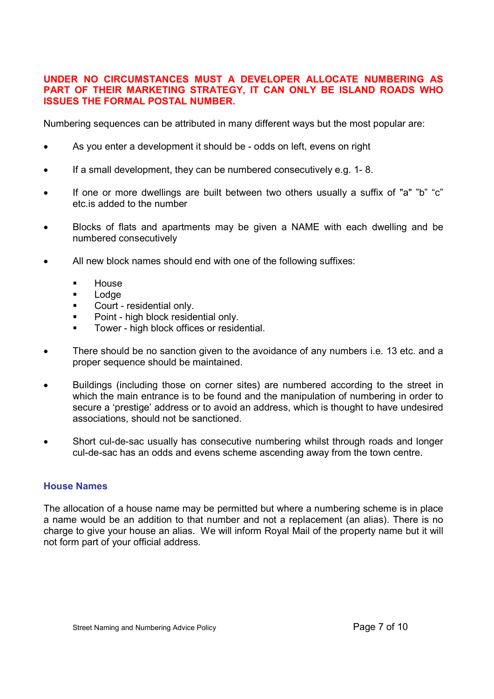#### UNDER NO CIRCUMSTANCES MUST A DEVELOPER ALLOCATE NUMBERING AS PART OF THEIR MARKETING STRATEGY, IT CAN ONLY BE ISLAND ROADS WHO ISSUES THE FORMAL POSTAL NUMBER.

Numbering sequences can be attributed in many different ways but the most popular are:

- As you enter a development it should be odds on left, evens on right
- If a small development, they can be numbered consecutively e.g. 1- 8.
- If one or more dwellings are built between two others usually a suffix of "a" "b" "c" etc.is added to the number
- Blocks of flats and apartments may be given a NAME with each dwelling and be numbered consecutively
- All new block names should end with one of the following suffixes:
	- **House**
	- **Lodge**
	- **Court residential only.**
	- **Point high block residential only.**
	- **Tower high block offices or residential.**
- There should be no sanction given to the avoidance of any numbers i.e. 13 etc. and a proper sequence should be maintained.
- Buildings (including those on corner sites) are numbered according to the street in which the main entrance is to be found and the manipulation of numbering in order to secure a 'prestige' address or to avoid an address, which is thought to have undesired associations, should not be sanctioned.
- Short cul-de-sac usually has consecutive numbering whilst through roads and longer cul-de-sac has an odds and evens scheme ascending away from the town centre.

#### House Names

The allocation of a house name may be permitted but where a numbering scheme is in place a name would be an addition to that number and not a replacement (an alias). There is no charge to give your house an alias. We will inform Royal Mail of the property name but it will not form part of your official address.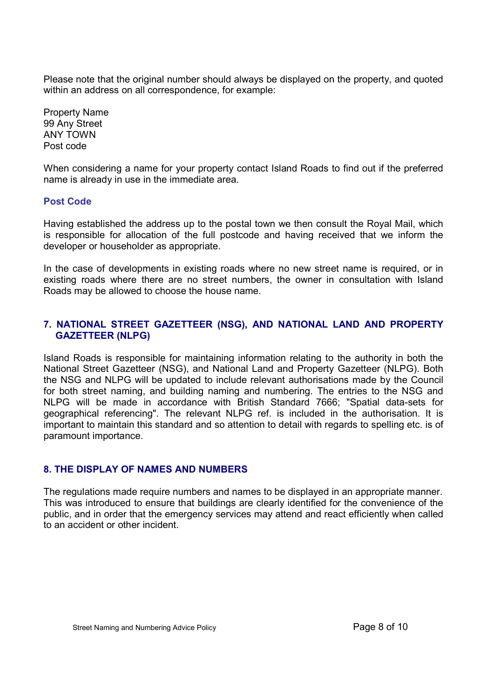Please note that the original number should always be displayed on the property, and quoted within an address on all correspondence, for example:

Property Name 99 Any Street ANY TOWN Post code

When considering a name for your property contact Island Roads to find out if the preferred name is already in use in the immediate area.

#### Post Code

Having established the address up to the postal town we then consult the Royal Mail, which is responsible for allocation of the full postcode and having received that we inform the developer or householder as appropriate.

In the case of developments in existing roads where no new street name is required, or in existing roads where there are no street numbers, the owner in consultation with Island Roads may be allowed to choose the house name.

## 7. NATIONAL STREET GAZETTEER (NSG), AND NATIONAL LAND AND PROPERTY GAZETTEER (NLPG)

Island Roads is responsible for maintaining information relating to the authority in both the National Street Gazetteer (NSG), and National Land and Property Gazetteer (NLPG). Both the NSG and NLPG will be updated to include relevant authorisations made by the Council for both street naming, and building naming and numbering. The entries to the NSG and NLPG will be made in accordance with British Standard 7666; "Spatial data-sets for geographical referencing". The relevant NLPG ref. is included in the authorisation. It is important to maintain this standard and so attention to detail with regards to spelling etc. is of paramount importance.

## 8. THE DISPLAY OF NAMES AND NUMBERS

The regulations made require numbers and names to be displayed in an appropriate manner. This was introduced to ensure that buildings are clearly identified for the convenience of the public, and in order that the emergency services may attend and react efficiently when called to an accident or other incident.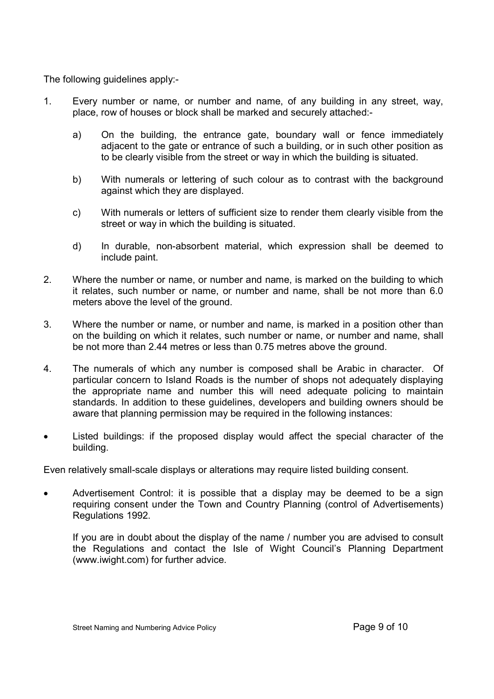The following guidelines apply:-

- 1. Every number or name, or number and name, of any building in any street, way, place, row of houses or block shall be marked and securely attached:
	- a) On the building, the entrance gate, boundary wall or fence immediately adjacent to the gate or entrance of such a building, or in such other position as to be clearly visible from the street or way in which the building is situated.
	- b) With numerals or lettering of such colour as to contrast with the background against which they are displayed.
	- c) With numerals or letters of sufficient size to render them clearly visible from the street or way in which the building is situated.
	- d) In durable, non-absorbent material, which expression shall be deemed to include paint.
- 2. Where the number or name, or number and name, is marked on the building to which it relates, such number or name, or number and name, shall be not more than 6.0 meters above the level of the ground.
- 3. Where the number or name, or number and name, is marked in a position other than on the building on which it relates, such number or name, or number and name, shall be not more than 2.44 metres or less than 0.75 metres above the ground.
- 4. The numerals of which any number is composed shall be Arabic in character. Of particular concern to Island Roads is the number of shops not adequately displaying the appropriate name and number this will need adequate policing to maintain standards. In addition to these guidelines, developers and building owners should be aware that planning permission may be required in the following instances:
- Listed buildings: if the proposed display would affect the special character of the building.

Even relatively small-scale displays or alterations may require listed building consent.

 Advertisement Control: it is possible that a display may be deemed to be a sign requiring consent under the Town and Country Planning (control of Advertisements) Regulations 1992.

 If you are in doubt about the display of the name / number you are advised to consult the Regulations and contact the Isle of Wight Council's Planning Department (www.iwight.com) for further advice.